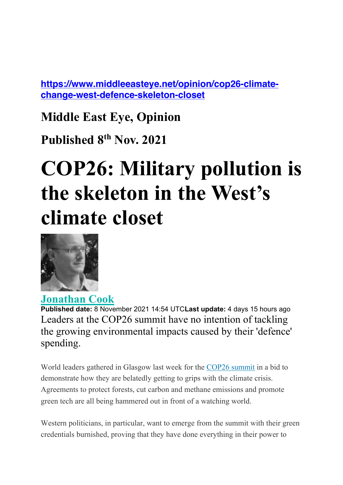**https://www.middleeasteye.net/opinion/cop26-climatechange-west-defence-skeleton-closet**

#### **Middle East Eye, Opinion**

**Published 8th Nov. 2021**

# **COP26: Military pollution is the skeleton in the West's climate closet**



**Jonathan Cook Published date:** 8 November 2021 14:54 UTCLast update: 4 days 15 hours ago Leaders at the COP26 summit have no intention of tackling the growing environmental impacts caused by their 'defence' spending.

World leaders gathered in Glasgow last week for the COP26 summit in a bid to demonstrate how they are belatedly getting to grips with the climate crisis. Agreements to protect forests, cut carbon and methane emissions and promote green tech are all being hammered out in front of a watching world.

Western politicians, in particular, want to emerge from the summit with their green credentials burnished, proving that they have done everything in their power to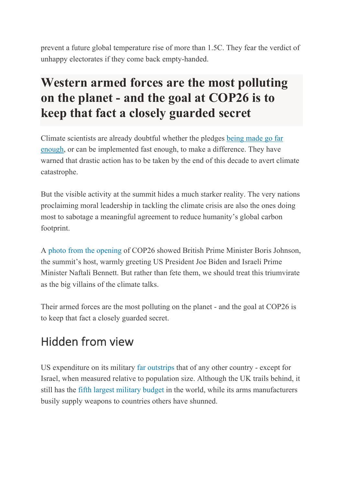prevent a future global temperature rise of more than 1.5C. They fear the verdict of unhappy electorates if they come back empty-handed.

#### **Western armed forces are the most polluting on the planet - and the goal at COP26 is to keep that fact a closely guarded secret**

Climate scientists are already doubtful whether the pledges being made go far enough, or can be implemented fast enough, to make a difference. They have warned that drastic action has to be taken by the end of this decade to avert climate catastrophe.

But the visible activity at the summit hides a much starker reality. The very nations proclaiming moral leadership in tackling the climate crisis are also the ones doing most to sabotage a meaningful agreement to reduce humanity's global carbon footprint.

A photo from the opening of COP26 showed British Prime Minister Boris Johnson, the summit's host, warmly greeting US President Joe Biden and Israeli Prime Minister Naftali Bennett. But rather than fete them, we should treat this triumvirate as the big villains of the climate talks.

Their armed forces are the most polluting on the planet - and the goal at COP26 is to keep that fact a closely guarded secret.

# Hidden from view

US expenditure on its military far outstrips that of any other country - except for Israel, when measured relative to population size. Although the UK trails behind, it still has the fifth largest military budget in the world, while its arms manufacturers busily supply weapons to countries others have shunned.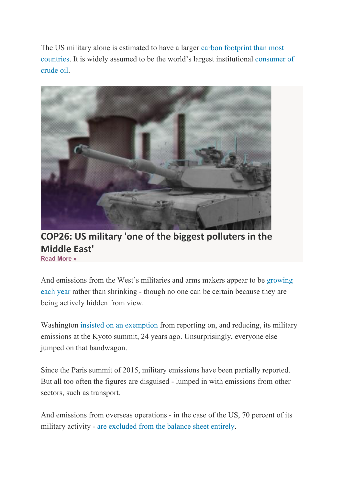The US military alone is estimated to have a larger carbon footprint than most countries. It is widely assumed to be the world's largest institutional consumer of crude oil.



**COP26: US military 'one of the biggest polluters in the Middle East' Read More »**

And emissions from the West's militaries and arms makers appear to be growing each year rather than shrinking - though no one can be certain because they are being actively hidden from view.

Washington insisted on an exemption from reporting on, and reducing, its military emissions at the Kyoto summit, 24 years ago. Unsurprisingly, everyone else jumped on that bandwagon.

Since the Paris summit of 2015, military emissions have been partially reported. But all too often the figures are disguised - lumped in with emissions from other sectors, such as transport.

And emissions from overseas operations - in the case of the US, 70 percent of its military activity - are excluded from the balance sheet entirely.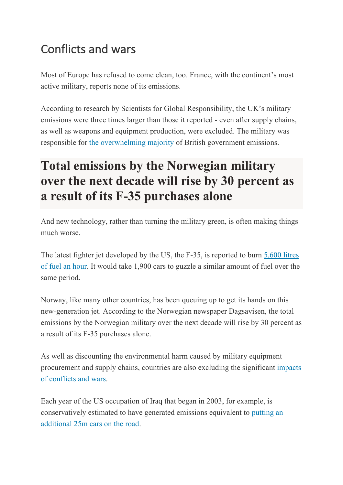## Conflicts and wars

Most of Europe has refused to come clean, too. France, with the continent's most active military, reports none of its emissions.

According to research by Scientists for Global Responsibility, the UK's military emissions were three times larger than those it reported - even after supply chains, as well as weapons and equipment production, were excluded. The military was responsible for the overwhelming majority of British government emissions.

## **Total emissions by the Norwegian military over the next decade will rise by 30 percent as a result of its F-35 purchases alone**

And new technology, rather than turning the military green, is often making things much worse.

The latest fighter jet developed by the US, the F-35, is reported to burn 5,600 litres of fuel an hour. It would take 1,900 cars to guzzle a similar amount of fuel over the same period.

Norway, like many other countries, has been queuing up to get its hands on this new-generation jet. According to the Norwegian newspaper Dagsavisen, the total emissions by the Norwegian military over the next decade will rise by 30 percent as a result of its F-35 purchases alone.

As well as discounting the environmental harm caused by military equipment procurement and supply chains, countries are also excluding the significant impacts of conflicts and wars.

Each year of the US occupation of Iraq that began in 2003, for example, is conservatively estimated to have generated emissions equivalent to putting an additional 25m cars on the road.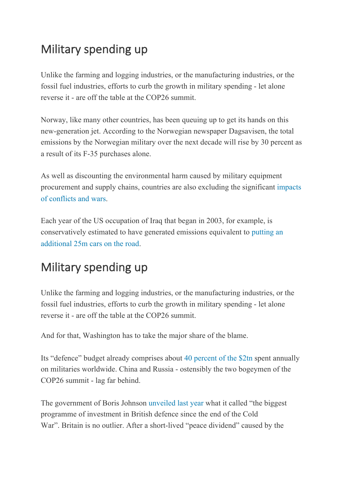#### Military spending up

Unlike the farming and logging industries, or the manufacturing industries, or the fossil fuel industries, efforts to curb the growth in military spending - let alone reverse it - are off the table at the COP26 summit.

Norway, like many other countries, has been queuing up to get its hands on this new-generation jet. According to the Norwegian newspaper Dagsavisen, the total emissions by the Norwegian military over the next decade will rise by 30 percent as a result of its F-35 purchases alone.

As well as discounting the environmental harm caused by military equipment procurement and supply chains, countries are also excluding the significant impacts of conflicts and wars.

Each year of the US occupation of Iraq that began in 2003, for example, is conservatively estimated to have generated emissions equivalent to putting an additional 25m cars on the road.

#### Military spending up

Unlike the farming and logging industries, or the manufacturing industries, or the fossil fuel industries, efforts to curb the growth in military spending - let alone reverse it - are off the table at the COP26 summit.

And for that, Washington has to take the major share of the blame.

Its "defence" budget already comprises about 40 percent of the \$2tn spent annually on militaries worldwide. China and Russia - ostensibly the two bogeymen of the COP26 summit - lag far behind.

The government of Boris Johnson unveiled last year what it called "the biggest programme of investment in British defence since the end of the Cold War". Britain is no outlier. After a short-lived "peace dividend" caused by the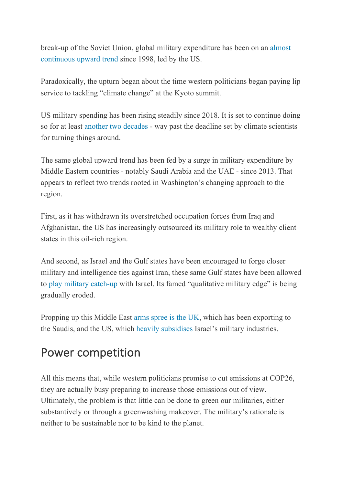break-up of the Soviet Union, global military expenditure has been on an almost continuous upward trend since 1998, led by the US.

Paradoxically, the upturn began about the time western politicians began paying lip service to tackling "climate change" at the Kyoto summit.

US military spending has been rising steadily since 2018. It is set to continue doing so for at least another two decades - way past the deadline set by climate scientists for turning things around.

The same global upward trend has been fed by a surge in military expenditure by Middle Eastern countries - notably Saudi Arabia and the UAE - since 2013. That appears to reflect two trends rooted in Washington's changing approach to the region.

First, as it has withdrawn its overstretched occupation forces from Iraq and Afghanistan, the US has increasingly outsourced its military role to wealthy client states in this oil-rich region.

And second, as Israel and the Gulf states have been encouraged to forge closer military and intelligence ties against Iran, these same Gulf states have been allowed to play military catch-up with Israel. Its famed "qualitative military edge" is being gradually eroded.

Propping up this Middle East arms spree is the UK, which has been exporting to the Saudis, and the US, which heavily subsidises Israel's military industries.

#### Power competition

All this means that, while western politicians promise to cut emissions at COP26, they are actually busy preparing to increase those emissions out of view. Ultimately, the problem is that little can be done to green our militaries, either substantively or through a greenwashing makeover. The military's rationale is neither to be sustainable nor to be kind to the planet.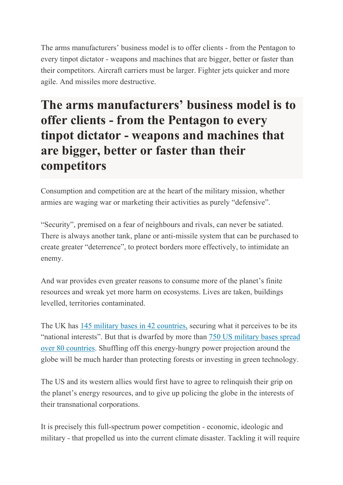The arms manufacturers' business model is to offer clients - from the Pentagon to every tinpot dictator - weapons and machines that are bigger, better or faster than their competitors. Aircraft carriers must be larger. Fighter jets quicker and more agile. And missiles more destructive.

## **The arms manufacturers' business model is to offer clients - from the Pentagon to every tinpot dictator - weapons and machines that are bigger, better or faster than their competitors**

Consumption and competition are at the heart of the military mission, whether armies are waging war or marketing their activities as purely "defensive".

"Security", premised on a fear of neighbours and rivals, can never be satiated. There is always another tank, plane or anti-missile system that can be purchased to create greater "deterrence", to protect borders more effectively, to intimidate an enemy.

And war provides even greater reasons to consume more of the planet's finite resources and wreak yet more harm on ecosystems. Lives are taken, buildings levelled, territories contaminated.

The UK has 145 military bases in 42 countries, securing what it perceives to be its "national interests". But that is dwarfed by more than 750 US military bases spread over 80 countries. Shuffling off this energy-hungry power projection around the globe will be much harder than protecting forests or investing in green technology.

The US and its western allies would first have to agree to relinquish their grip on the planet's energy resources, and to give up policing the globe in the interests of their transnational corporations.

It is precisely this full-spectrum power competition - economic, ideologic and military - that propelled us into the current climate disaster. Tackling it will require